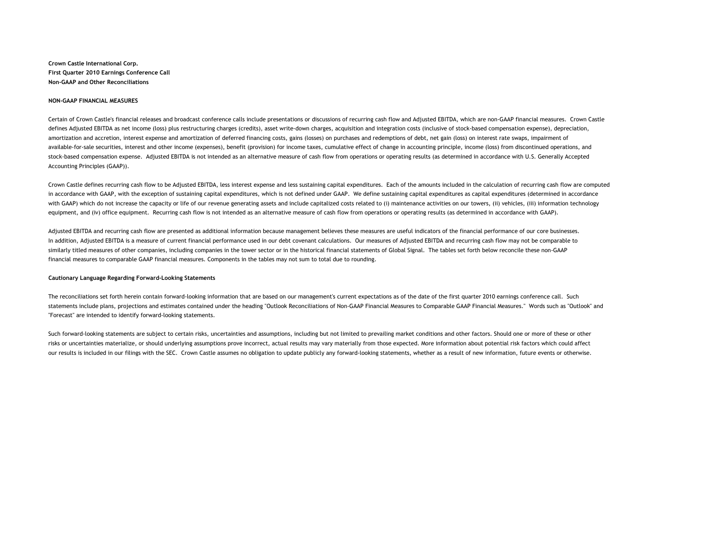**Crown Castle International Corp. First Quarter 2010 Earnings Conference Call Non-GAAP and Other Reconciliations**

#### **NON-GAAP FINANCIAL MEASURES**

Certain of Crown Castle's financial releases and broadcast conference calls include presentations or discussions of recurring cash flow and Adjusted EBITDA, which are non-GAAP financial measures. Crown Castle defines Adjusted EBITDA as net income (loss) plus restructuring charges (credits), asset write-down charges, acquisition and integration costs (inclusive of stock-based compensation expense), depreciation, amortization and accretion, interest expense and amortization of deferred financing costs, gains (losses) on purchases and redemptions of debt, net gain (loss) on interest rate swaps, impairment of available-for-sale securities, interest and other income (expenses), benefit (provision) for income taxes, cumulative effect of change in accounting principle, income (loss) from discontinued operations, and stock-based compensation expense. Adjusted EBITDA is not intended as an alternative measure of cash flow from operations or operating results (as determined in accordance with U.S. Generally Accepted Accounting Principles (GAAP)).

Crown Castle defines recurring cash flow to be Adjusted EBITDA, less interest expense and less sustaining capital expenditures. Each of the amounts included in the calculation of recurring cash flow are computed in accordance with GAAP, with the exception of sustaining capital expenditures, which is not defined under GAAP. We define sustaining capital expenditures as capital expenditures (determined in accordance with GAAP) which do not increase the capacity or life of our revenue generating assets and include capitalized costs related to (i) maintenance activities on our towers, (ii) vehicles, (iii) information technology equipment, and (iv) office equipment. Recurring cash flow is not intended as an alternative measure of cash flow from operations or operating results (as determined in accordance with GAAP).

Adjusted EBITDA and recurring cash flow are presented as additional information because management believes these measures are useful indicators of the financial performance of our core businesses. In addition, Adjusted EBITDA is a measure of current financial performance used in our debt covenant calculations. Our measures of Adjusted EBITDA and recurring cash flow may not be comparable to similarly titled measures of other companies, including companies in the tower sector or in the historical financial statements of Global Signal. The tables set forth below reconcile these non-GAAP financial measures to comparable GAAP financial measures. Components in the tables may not sum to total due to rounding.

#### **Cautionary Language Regarding Forward-Looking Statements**

The reconciliations set forth herein contain forward-looking information that are based on our management's current expectations as of the date of the first quarter 2010 earnings conference call. Such statements include plans, projections and estimates contained under the heading "Outlook Reconciliations of Non-GAAP Financial Measures to Comparable GAAP Financial Measures." Words such as "Outlook" and "Forecast" are intended to identify forward-looking statements.

Such forward-looking statements are subject to certain risks, uncertainties and assumptions, including but not limited to prevailing market conditions and other factors. Should one or more of these or other risks or uncertainties materialize, or should underlying assumptions prove incorrect, actual results may vary materially from those expected. More information about potential risk factors which could affect our results is included in our filings with the SEC. Crown Castle assumes no obligation to update publicly any forward-looking statements, whether as a result of new information, future events or otherwise.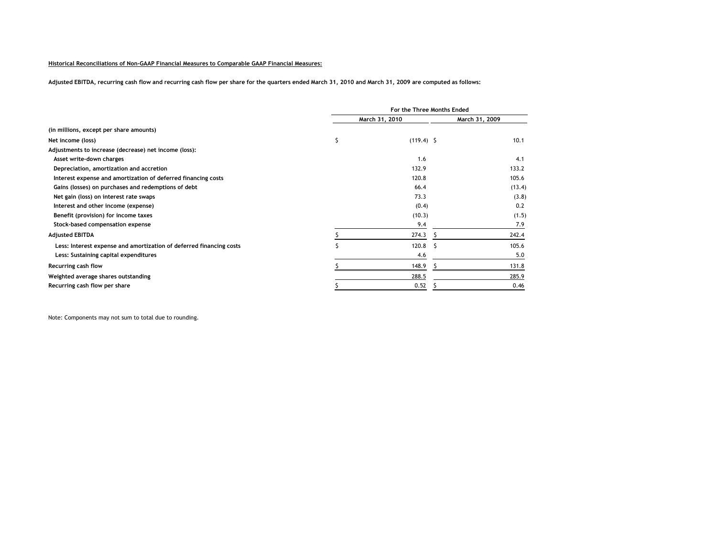### **Historical Reconciliations of Non-GAAP Financial Measures to Comparable GAAP Financial Measures:**

**Adjusted EBITDA, recurring cash flow and recurring cash flow per share for the quarters ended March 31, 2010 and March 31, 2009 are computed as follows:**

|                                                                     | For the Three Months Ended |              |                |
|---------------------------------------------------------------------|----------------------------|--------------|----------------|
|                                                                     | March 31, 2010             |              | March 31, 2009 |
| (in millions, except per share amounts)                             |                            |              |                |
| Net income (loss)                                                   | Ś                          | $(119.4)$ \$ | 10.1           |
| Adjustments to increase (decrease) net income (loss):               |                            |              |                |
| Asset write-down charges                                            |                            | 1.6          | 4.1            |
| Depreciation, amortization and accretion                            |                            | 132.9        | 133.2          |
| Interest expense and amortization of deferred financing costs       |                            | 120.8        | 105.6          |
| Gains (losses) on purchases and redemptions of debt                 |                            | 66.4         | (13.4)         |
| Net gain (loss) on interest rate swaps                              |                            | 73.3         | (3.8)          |
| Interest and other income (expense)                                 |                            | (0.4)        | 0.2            |
| Benefit (provision) for income taxes                                |                            | (10.3)       | (1.5)          |
| Stock-based compensation expense                                    |                            | 9.4          | 7.9            |
| <b>Adjusted EBITDA</b>                                              |                            | 274.3        | 242.4          |
| Less: Interest expense and amortization of deferred financing costs |                            | 120.8        | 105.6          |
| Less: Sustaining capital expenditures                               |                            | 4.6          | 5.0            |
| Recurring cash flow                                                 |                            | 148.9        | 131.8          |
| Weighted average shares outstanding                                 |                            | 288.5        | 285.9          |
| Recurring cash flow per share                                       |                            | 0.52         | 0.46           |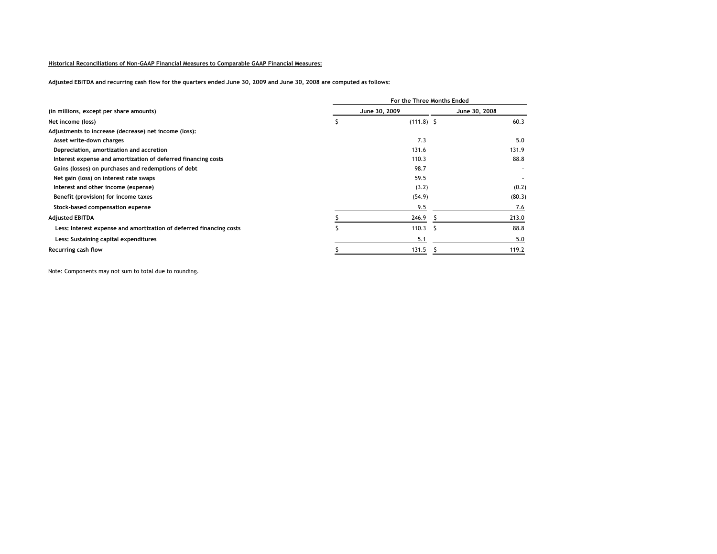### **Historical Reconciliations of Non-GAAP Financial Measures to Comparable GAAP Financial Measures:**

**Adjusted EBITDA and recurring cash flow for the quarters ended June 30, 2009 and June 30, 2008 are computed as follows:**

|                                                                     | For the Three Months Ended |               |               |        |  |
|---------------------------------------------------------------------|----------------------------|---------------|---------------|--------|--|
| (in millions, except per share amounts)                             |                            | June 30, 2009 | June 30, 2008 |        |  |
| Net income (loss)                                                   |                            | $(111.8)$ \$  |               | 60.3   |  |
| Adjustments to increase (decrease) net income (loss):               |                            |               |               |        |  |
| Asset write-down charges                                            |                            | 7.3           |               | 5.0    |  |
| Depreciation, amortization and accretion                            |                            | 131.6         |               | 131.9  |  |
| Interest expense and amortization of deferred financing costs       |                            | 110.3         |               | 88.8   |  |
| Gains (losses) on purchases and redemptions of debt                 |                            | 98.7          |               |        |  |
| Net gain (loss) on interest rate swaps                              |                            | 59.5          |               |        |  |
| Interest and other income (expense)                                 |                            | (3.2)         |               | (0.2)  |  |
| Benefit (provision) for income taxes                                |                            | (54.9)        |               | (80.3) |  |
| Stock-based compensation expense                                    |                            | 9.5           |               | 7.6    |  |
| <b>Adjusted EBITDA</b>                                              |                            | 246.9         |               | 213.0  |  |
| Less: Interest expense and amortization of deferred financing costs |                            | 110.3         | -S            | 88.8   |  |
| Less: Sustaining capital expenditures                               |                            | 5.1           |               | 5.0    |  |
| Recurring cash flow                                                 |                            | 131.5         |               | 119.2  |  |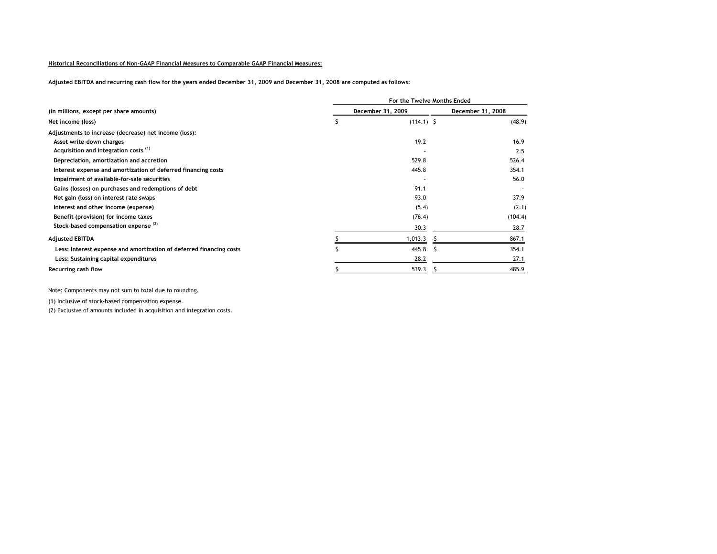### **Historical Reconciliations of Non-GAAP Financial Measures to Comparable GAAP Financial Measures:**

**Adjusted EBITDA and recurring cash flow for the years ended December 31, 2009 and December 31, 2008 are computed as follows:**

|                                                                     | For the Twelve Months Ended |                   |                   |         |  |
|---------------------------------------------------------------------|-----------------------------|-------------------|-------------------|---------|--|
| (in millions, except per share amounts)                             |                             | December 31, 2009 | December 31, 2008 |         |  |
| Net income (loss)                                                   |                             | $(114.1)$ \$      |                   | (48.9)  |  |
| Adjustments to increase (decrease) net income (loss):               |                             |                   |                   |         |  |
| Asset write-down charges                                            |                             | 19.2              |                   | 16.9    |  |
| Acquisition and integration costs <sup>(1)</sup>                    |                             |                   |                   | 2.5     |  |
| Depreciation, amortization and accretion                            |                             | 529.8             |                   | 526.4   |  |
| Interest expense and amortization of deferred financing costs       |                             | 445.8             |                   | 354.1   |  |
| Impairment of available-for-sale securities                         |                             |                   |                   | 56.0    |  |
| Gains (losses) on purchases and redemptions of debt                 |                             | 91.1              |                   |         |  |
| Net gain (loss) on interest rate swaps                              |                             | 93.0              |                   | 37.9    |  |
| Interest and other income (expense)                                 |                             | (5.4)             |                   | (2.1)   |  |
| Benefit (provision) for income taxes                                |                             | (76.4)            |                   | (104.4) |  |
| Stock-based compensation expense <sup>(2)</sup>                     |                             | 30.3              |                   | 28.7    |  |
| <b>Adjusted EBITDA</b>                                              |                             | 1,013.3           |                   | 867.1   |  |
| Less: Interest expense and amortization of deferred financing costs |                             | 445.8             | -S                | 354.1   |  |
| Less: Sustaining capital expenditures                               |                             | 28.2              |                   | 27.1    |  |
| Recurring cash flow                                                 |                             | 539.3             |                   | 485.9   |  |

Note: Components may not sum to total due to rounding.

(1) Inclusive of stock-based compensation expense.

(2) Exclusive of amounts included in acquisition and integration costs.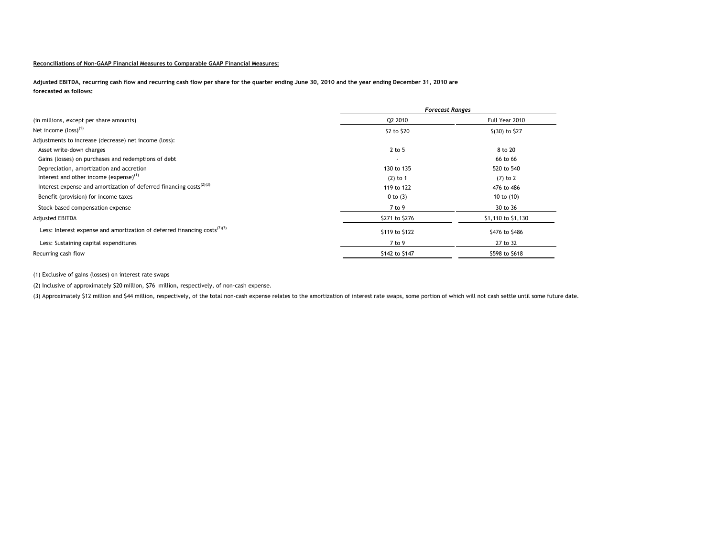### **Reconciliations of Non-GAAP Financial Measures to Comparable GAAP Financial Measures:**

**Adjusted EBITDA, recurring cash flow and recurring cash flow per share for the quarter ending June 30, 2010 and the year ending December 31, 2010 are forecasted as follows:**

|                                                                                                    | <b>Forecast Ranges</b>   |                    |
|----------------------------------------------------------------------------------------------------|--------------------------|--------------------|
| (in millions, except per share amounts)                                                            | Q2 2010                  | Full Year 2010     |
| Net income $\left($ loss $\right)^{(1)}$                                                           | \$2 to \$20              | \$(30) to \$27     |
| Adjustments to increase (decrease) net income (loss):                                              |                          |                    |
| Asset write-down charges                                                                           | 2 to 5                   | 8 to 20            |
| Gains (losses) on purchases and redemptions of debt                                                | $\overline{\phantom{a}}$ | 66 to 66           |
| Depreciation, amortization and accretion                                                           | 130 to 135               | 520 to 540         |
| Interest and other income (expense) $(1)$                                                          | $(2)$ to 1               | $(7)$ to 2         |
| Interest expense and amortization of deferred financing costs <sup>(2)(3)</sup>                    | 119 to 122               | 476 to 486         |
| Benefit (provision) for income taxes                                                               | $0$ to $(3)$             | 10 to (10)         |
| Stock-based compensation expense                                                                   | 7 to 9                   | 30 to 36           |
| Adjusted EBITDA                                                                                    | \$271 to \$276           | \$1,110 to \$1,130 |
| Less: Interest expense and amortization of deferred financing costs <sup><math>(2)(3)</math></sup> | \$119 to \$122           | \$476 to \$486     |
| Less: Sustaining capital expenditures                                                              | 7 to 9                   | 27 to 32           |
| Recurring cash flow                                                                                | \$142 to \$147           | \$598 to \$618     |

(1) Exclusive of gains (losses) on interest rate swaps

(2) Inclusive of approximately \$20 million, \$76 million, respectively, of non-cash expense.

(3) Approximately \$12 million and \$44 million, respectively, of the total non-cash expense relates to the amortization of interest rate swaps, some portion of which will not cash settle until some future date.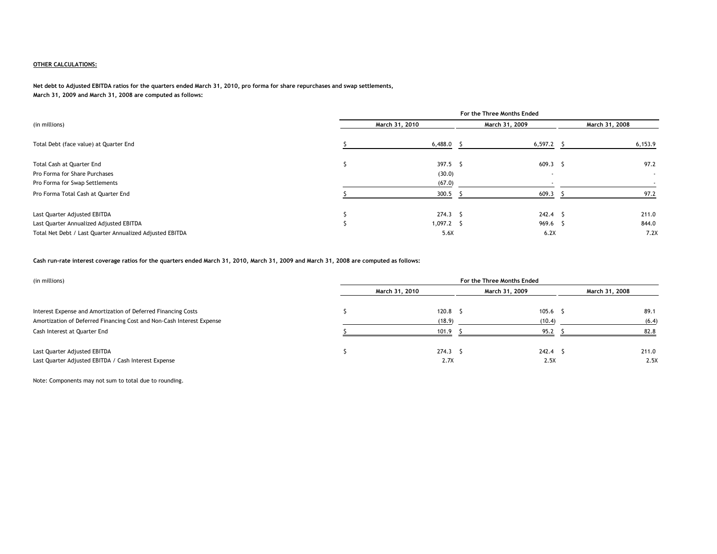# **OTHER CALCULATIONS:**

**Net debt to Adjusted EBITDA ratios for the quarters ended March 31, 2010, pro forma for share repurchases and swap settlements, March 31, 2009 and March 31, 2008 are computed as follows:**

|                                                          | For the Three Months Ended |                |              |                |  |
|----------------------------------------------------------|----------------------------|----------------|--------------|----------------|--|
| (in millions)                                            |                            | March 31, 2010 |              | March 31, 2008 |  |
| Total Debt (face value) at Quarter End                   |                            | 6,488.0        | $6,597.2$ \$ | 6,153.9        |  |
| Total Cash at Quarter End                                |                            | $397.5$ \$     | $609.3$ \$   | 97.2           |  |
| Pro Forma for Share Purchases                            |                            | (30.0)         | . .          | $\sim$         |  |
| Pro Forma for Swap Settlements                           |                            | (67.0)         |              |                |  |
| Pro Forma Total Cash at Quarter End                      |                            | 300.5          | 609.3        | 97.2           |  |
| Last Quarter Adjusted EBITDA                             |                            | $274.3$ S      | $242.4$ \$   | 211.0          |  |
| Last Quarter Annualized Adjusted EBITDA                  |                            | $1,097.2$ \$   | 969.6 \$     | 844.0          |  |
| Total Net Debt / Last Quarter Annualized Adjusted EBITDA |                            | 5.6X           | 6.2X         | 7.2X           |  |

**Cash run-rate interest coverage ratios for the quarters ended March 31, 2010, March 31, 2009 and March 31, 2008 are computed as follows:**

| (in millions)                                                                        | For the Three Months Ended |                    |  |                 |                |
|--------------------------------------------------------------------------------------|----------------------------|--------------------|--|-----------------|----------------|
|                                                                                      |                            | March 31, 2010     |  | March 31, 2009  | March 31, 2008 |
| Interest Expense and Amortization of Deferred Financing Costs                        |                            | 120.8 <sup>5</sup> |  | $105.6$ \$      | 89.1           |
| Amortization of Deferred Financing Cost and Non-Cash Interest Expense                |                            | (18.9)             |  | (10.4)          | (6.4)          |
| Cash Interest at Quarter End                                                         |                            | 101.9              |  | 95.2            | 82.8           |
| Last Quarter Adjusted EBITDA<br>Last Quarter Adjusted EBITDA / Cash Interest Expense |                            | $274.3$ S<br>2.7X  |  | 242.4 S<br>2.5X | 211.0<br>2.5X  |